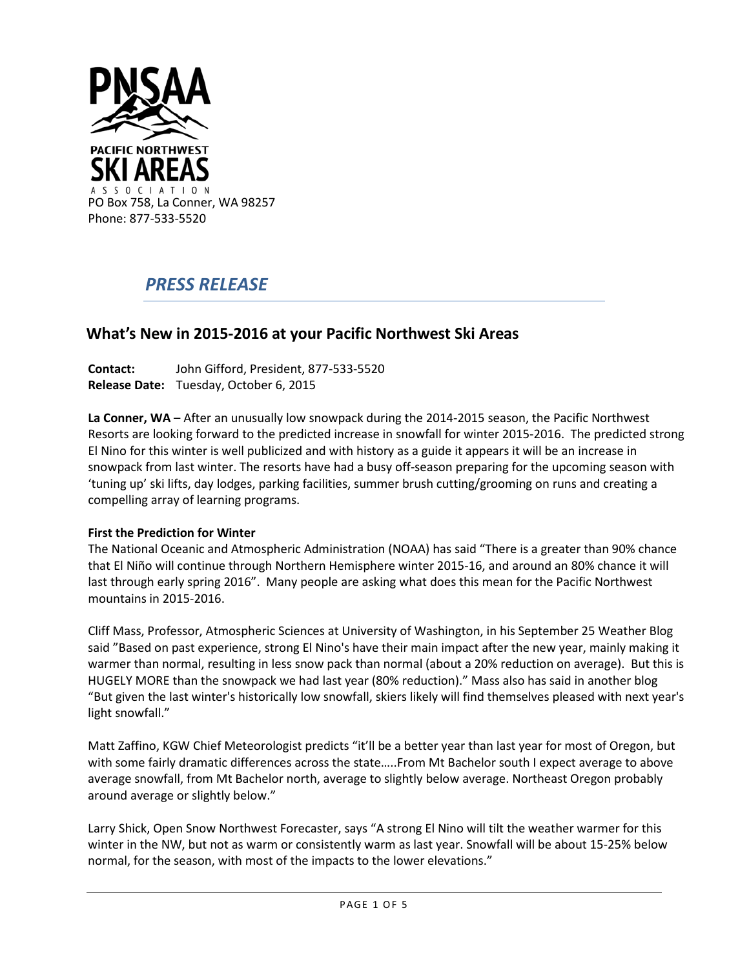

# *PRESS RELEASE*

# **What's New in 2015-2016 at your Pacific Northwest Ski Areas**

**Contact:** John Gifford, President, 877-533-5520 **Release Date:** Tuesday, October 6, 2015

**La Conner, WA** – After an unusually low snowpack during the 2014-2015 season, the Pacific Northwest Resorts are looking forward to the predicted increase in snowfall for winter 2015-2016. The predicted strong El Nino for this winter is well publicized and with history as a guide it appears it will be an increase in snowpack from last winter. The resorts have had a busy off-season preparing for the upcoming season with 'tuning up' ski lifts, day lodges, parking facilities, summer brush cutting/grooming on runs and creating a compelling array of learning programs.

## **First the Prediction for Winter**

The National Oceanic and Atmospheric Administration (NOAA) has said "There is a greater than 90% chance that El Niño will continue through Northern Hemisphere winter 2015-16, and around an 80% chance it will last through early spring 2016". Many people are asking what does this mean for the Pacific Northwest mountains in 2015-2016.

Cliff Mass, Professor, Atmospheric Sciences at University of Washington, in his September 25 Weather Blog said "Based on past experience, strong El Nino's have their main impact after the new year, mainly making it warmer than normal, resulting in less snow pack than normal (about a 20% reduction on average). But this is HUGELY MORE than the snowpack we had last year (80% reduction)." Mass also has said in another blog "But given the last winter's historically low snowfall, skiers likely will find themselves pleased with next year's light snowfall."

Matt Zaffino, KGW Chief Meteorologist predicts "it'll be a better year than last year for most of Oregon, but with some fairly dramatic differences across the state…..From Mt Bachelor south I expect average to above average snowfall, from Mt Bachelor north, average to slightly below average. Northeast Oregon probably around average or slightly below."

Larry Shick, Open Snow Northwest Forecaster, says "A strong El Nino will tilt the weather warmer for this winter in the NW, but not as warm or consistently warm as last year. Snowfall will be about 15-25% below normal, for the season, with most of the impacts to the lower elevations."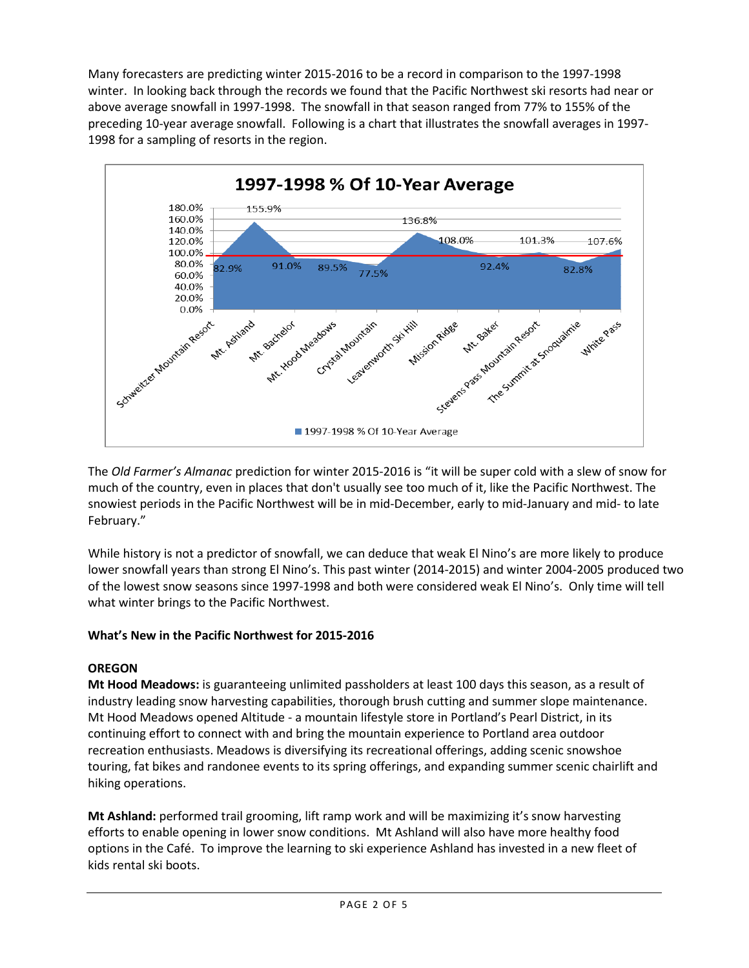Many forecasters are predicting winter 2015-2016 to be a record in comparison to the 1997-1998 winter. In looking back through the records we found that the Pacific Northwest ski resorts had near or above average snowfall in 1997-1998. The snowfall in that season ranged from 77% to 155% of the preceding 10-year average snowfall. Following is a chart that illustrates the snowfall averages in 1997- 1998 for a sampling of resorts in the region.



The *Old Farmer's Almanac* prediction for winter 2015-2016 is "it will be super cold with a slew of snow for much of the country, even in places that don't usually see too much of it, like the Pacific Northwest. The snowiest periods in the Pacific Northwest will be in mid-December, early to mid-January and mid- to late February."

While history is not a predictor of snowfall, we can deduce that weak El Nino's are more likely to produce lower snowfall years than strong El Nino's. This past winter (2014-2015) and winter 2004-2005 produced two of the lowest snow seasons since 1997-1998 and both were considered weak El Nino's. Only time will tell what winter brings to the Pacific Northwest.

# **What's New in the Pacific Northwest for 2015-2016**

# **OREGON**

**Mt Hood Meadows:** is guaranteeing unlimited passholders at least 100 days this season, as a result of industry leading snow harvesting capabilities, thorough brush cutting and summer slope maintenance. Mt Hood Meadows opened Altitude - a mountain lifestyle store in Portland's Pearl District, in its continuing effort to connect with and bring the mountain experience to Portland area outdoor recreation enthusiasts. Meadows is diversifying its recreational offerings, adding scenic snowshoe touring, fat bikes and randonee events to its spring offerings, and expanding summer scenic chairlift and hiking operations.

**Mt Ashland:** performed trail grooming, lift ramp work and will be maximizing it's snow harvesting efforts to enable opening in lower snow conditions. Mt Ashland will also have more healthy food options in the Café. To improve the learning to ski experience Ashland has invested in a new fleet of kids rental ski boots.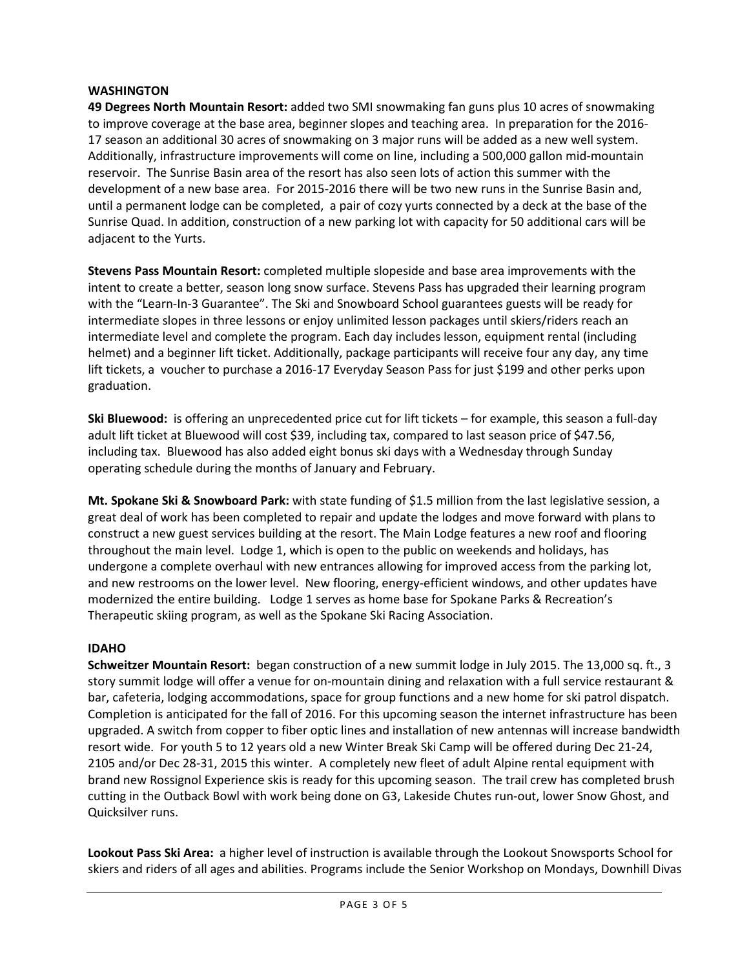#### **WASHINGTON**

**49 Degrees North Mountain Resort:** added two SMI snowmaking fan guns plus 10 acres of snowmaking to improve coverage at the base area, beginner slopes and teaching area. In preparation for the 2016- 17 season an additional 30 acres of snowmaking on 3 major runs will be added as a new well system. Additionally, infrastructure improvements will come on line, including a 500,000 gallon mid-mountain reservoir. The Sunrise Basin area of the resort has also seen lots of action this summer with the development of a new base area. For 2015-2016 there will be two new runs in the Sunrise Basin and, until a permanent lodge can be completed, a pair of cozy yurts connected by a deck at the base of the Sunrise Quad. In addition, construction of a new parking lot with capacity for 50 additional cars will be adjacent to the Yurts.

**Stevens Pass Mountain Resort:** completed multiple slopeside and base area improvements with the intent to create a better, season long snow surface. Stevens Pass has upgraded their learning program with the "Learn-In-3 Guarantee". The Ski and Snowboard School guarantees guests will be ready for intermediate slopes in three lessons or enjoy unlimited lesson packages until skiers/riders reach an intermediate level and complete the program. Each day includes lesson, equipment rental (including helmet) and a beginner lift ticket. Additionally, package participants will receive four any day, any time lift tickets, a voucher to purchase a 2016-17 Everyday Season Pass for just \$199 and other perks upon graduation.

**Ski Bluewood:** is offering an unprecedented price cut for lift tickets – for example, this season a full-day adult lift ticket at Bluewood will cost \$39, including tax, compared to last season price of \$47.56, including tax. Bluewood has also added eight bonus ski days with a Wednesday through Sunday operating schedule during the months of January and February.

**Mt. Spokane Ski & Snowboard Park:** with state funding of \$1.5 million from the last legislative session, a great deal of work has been completed to repair and update the lodges and move forward with plans to construct a new guest services building at the resort. The Main Lodge features a new roof and flooring throughout the main level. Lodge 1, which is open to the public on weekends and holidays, has undergone a complete overhaul with new entrances allowing for improved access from the parking lot, and new restrooms on the lower level. New flooring, energy-efficient windows, and other updates have modernized the entire building. Lodge 1 serves as home base for Spokane Parks & Recreation's Therapeutic skiing program, as well as the Spokane Ski Racing Association.

## **IDAHO**

**Schweitzer Mountain Resort:** began construction of a new summit lodge in July 2015. The 13,000 sq. ft., 3 story summit lodge will offer a venue for on-mountain dining and relaxation with a full service restaurant & bar, cafeteria, lodging accommodations, space for group functions and a new home for ski patrol dispatch. Completion is anticipated for the fall of 2016. For this upcoming season the internet infrastructure has been upgraded. A switch from copper to fiber optic lines and installation of new antennas will increase bandwidth resort wide. For youth 5 to 12 years old a new Winter Break Ski Camp will be offered during Dec 21-24, 2105 and/or Dec 28-31, 2015 this winter. A completely new fleet of adult Alpine rental equipment with brand new Rossignol Experience skis is ready for this upcoming season. The trail crew has completed brush cutting in the Outback Bowl with work being done on G3, Lakeside Chutes run-out, lower Snow Ghost, and Quicksilver runs.

**Lookout Pass Ski Area:** a higher level of instruction is available through the Lookout Snowsports School for skiers and riders of all ages and abilities. Programs include the Senior Workshop on Mondays, Downhill Divas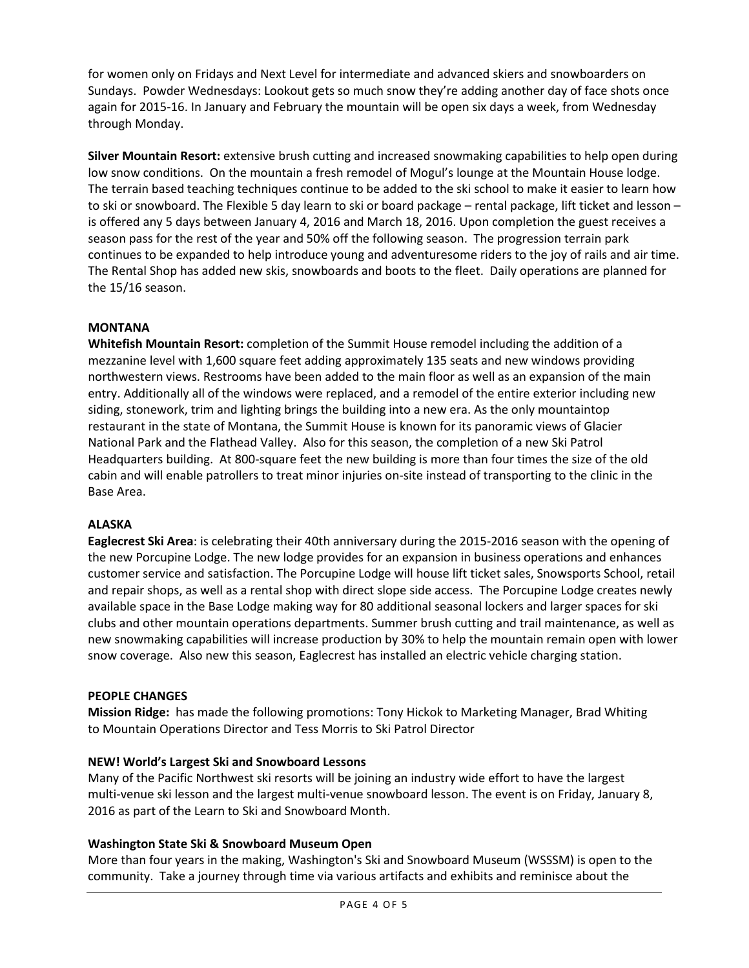for women only on Fridays and Next Level for intermediate and advanced skiers and snowboarders on Sundays. Powder Wednesdays: Lookout gets so much snow they're adding another day of face shots once again for 2015-16. In January and February the mountain will be open six days a week, from Wednesday through Monday.

**Silver Mountain Resort:** extensive brush cutting and increased snowmaking capabilities to help open during low snow conditions. On the mountain a fresh remodel of Mogul's lounge at the Mountain House lodge. The terrain based teaching techniques continue to be added to the ski school to make it easier to learn how to ski or snowboard. The Flexible 5 day learn to ski or board package – rental package, lift ticket and lesson – is offered any 5 days between January 4, 2016 and March 18, 2016. Upon completion the guest receives a season pass for the rest of the year and 50% off the following season. The progression terrain park continues to be expanded to help introduce young and adventuresome riders to the joy of rails and air time. The Rental Shop has added new skis, snowboards and boots to the fleet. Daily operations are planned for the 15/16 season.

## **MONTANA**

**Whitefish Mountain Resort:** completion of the Summit House remodel including the addition of a mezzanine level with 1,600 square feet adding approximately 135 seats and new windows providing northwestern views. Restrooms have been added to the main floor as well as an expansion of the main entry. Additionally all of the windows were replaced, and a remodel of the entire exterior including new siding, stonework, trim and lighting brings the building into a new era. As the only mountaintop restaurant in the state of Montana, the Summit House is known for its panoramic views of Glacier National Park and the Flathead Valley. Also for this season, the completion of a new Ski Patrol Headquarters building. At 800-square feet the new building is more than four times the size of the old cabin and will enable patrollers to treat minor injuries on-site instead of transporting to the clinic in the Base Area.

## **ALASKA**

**Eaglecrest Ski Area**: is celebrating their 40th anniversary during the 2015-2016 season with the opening of the new Porcupine Lodge. The new lodge provides for an expansion in business operations and enhances customer service and satisfaction. The Porcupine Lodge will house lift ticket sales, Snowsports School, retail and repair shops, as well as a rental shop with direct slope side access. The Porcupine Lodge creates newly available space in the Base Lodge making way for 80 additional seasonal lockers and larger spaces for ski clubs and other mountain operations departments. Summer brush cutting and trail maintenance, as well as new snowmaking capabilities will increase production by 30% to help the mountain remain open with lower snow coverage. Also new this season, Eaglecrest has installed an electric vehicle charging station.

#### **PEOPLE CHANGES**

**Mission Ridge:** has made the following promotions: Tony Hickok to Marketing Manager, Brad Whiting to Mountain Operations Director and Tess Morris to Ski Patrol Director

#### **NEW! World's Largest Ski and Snowboard Lessons**

Many of the Pacific Northwest ski resorts will be joining an industry wide effort to have the largest multi-venue ski lesson and the largest multi-venue snowboard lesson. The event is on Friday, January 8, 2016 as part of the Learn to Ski and Snowboard Month.

#### **Washington State Ski & Snowboard Museum Open**

More than four years in the making, Washington's Ski and Snowboard Museum (WSSSM) is open to the community. Take a journey through time via various artifacts and exhibits and reminisce about the